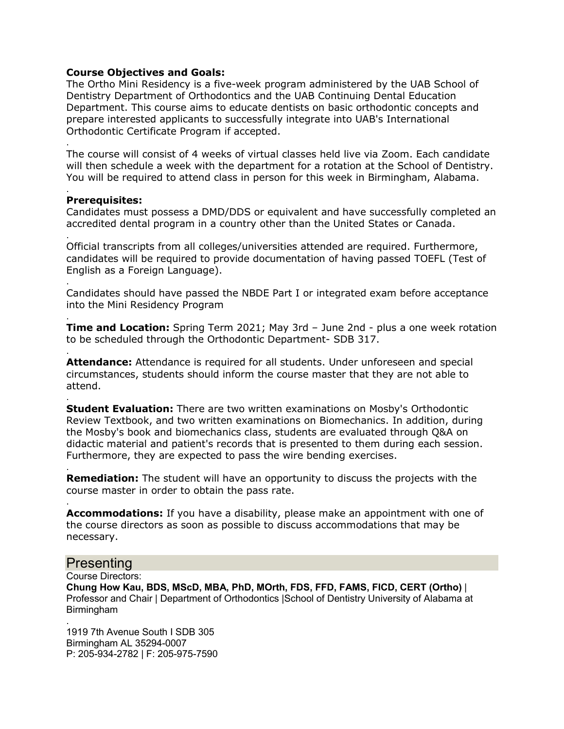## **Course Objectives and Goals:**

The Ortho Mini Residency is a five-week program administered by the UAB School of Dentistry Department of Orthodontics and the UAB Continuing Dental Education Department. This course aims to educate dentists on basic orthodontic concepts and prepare interested applicants to successfully integrate into UAB's International Orthodontic Certificate Program if accepted.

. The course will consist of 4 weeks of virtual classes held live via Zoom. Each candidate will then schedule a week with the department for a rotation at the School of Dentistry. You will be required to attend class in person for this week in Birmingham, Alabama.

#### . **Prerequisites:**

.

Candidates must possess a DMD/DDS or equivalent and have successfully completed an accredited dental program in a country other than the United States or Canada.

Official transcripts from all colleges/universities attended are required. Furthermore, candidates will be required to provide documentation of having passed TOEFL (Test of English as a Foreign Language).

. Candidates should have passed the NBDE Part I or integrated exam before acceptance into the Mini Residency Program

. **Time and Location:** Spring Term 2021; May 3rd – June 2nd - plus a one week rotation to be scheduled through the Orthodontic Department- SDB 317.

. **Attendance:** Attendance is required for all students. Under unforeseen and special circumstances, students should inform the course master that they are not able to attend.

. **Student Evaluation:** There are two written examinations on Mosby's Orthodontic Review Textbook, and two written examinations on Biomechanics. In addition, during the Mosby's book and biomechanics class, students are evaluated through Q&A on didactic material and patient's records that is presented to them during each session. Furthermore, they are expected to pass the wire bending exercises.

. **Remediation:** The student will have an opportunity to discuss the projects with the course master in order to obtain the pass rate.

**Accommodations:** If you have a disability, please make an appointment with one of the course directors as soon as possible to discuss accommodations that may be necessary.

# Presenting

.

Course Directors:

**Chung How Kau, BDS, MScD, MBA, PhD, MOrth, FDS, FFD, FAMS, FICD, CERT (Ortho)** | Professor and Chair | Department of Orthodontics |School of Dentistry University of Alabama at Birmingham

. 1919 7th Avenue South I SDB 305 Birmingham AL 35294-0007 P: 205-934-2782 | F: 205-975-7590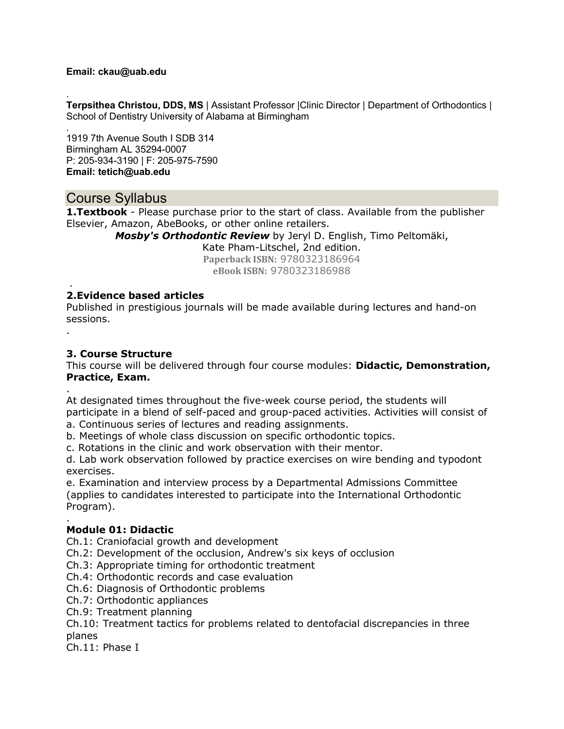## **Email: ckau@uab.edu**

. **Terpsithea Christou, DDS, MS** | Assistant Professor |Clinic Director | Department of Orthodontics | School of Dentistry University of Alabama at Birmingham

. 1919 7th Avenue South I SDB 314 Birmingham AL 35294-0007 P: 205-934-3190 | F: 205-975-7590 **Email: tetich@uab.edu**

# Course Syllabus

**1. Textbook** - Please purchase prior to the start of class. Available from the publisher Elsevier, Amazon, AbeBooks, or other online retailers.

*Mosby's Orthodontic Review* by Jeryl D. English, Timo Peltomäki,

Kate Pham-Litschel, 2nd edition.

**Paperback ISBN:** 9780323186964 **eBook ISBN:** 9780323186988

#### . **2.Evidence based articles**

Published in prestigious journals will be made available during lectures and hand-on sessions.

**3. Course Structure**

.

.

This course will be delivered through four course modules: **Didactic, Demonstration, Practice, Exam.**

At designated times throughout the five-week course period, the students will participate in a blend of self-paced and group-paced activities. Activities will consist of a. Continuous series of lectures and reading assignments.

b. Meetings of whole class discussion on specific orthodontic topics.

c. Rotations in the clinic and work observation with their mentor.

d. Lab work observation followed by practice exercises on wire bending and typodont exercises.

e. Examination and interview process by a Departmental Admissions Committee (applies to candidates interested to participate into the International Orthodontic Program).

#### . **Module 01: Didactic**

Ch.1: Craniofacial growth and development

Ch.2: Development of the occlusion, Andrew's six keys of occlusion

Ch.3: Appropriate timing for orthodontic treatment

Ch.4: Orthodontic records and case evaluation

Ch.6: Diagnosis of Orthodontic problems

Ch.7: Orthodontic appliances

Ch.9: Treatment planning

Ch.10: Treatment tactics for problems related to dentofacial discrepancies in three planes

Ch.11: Phase I